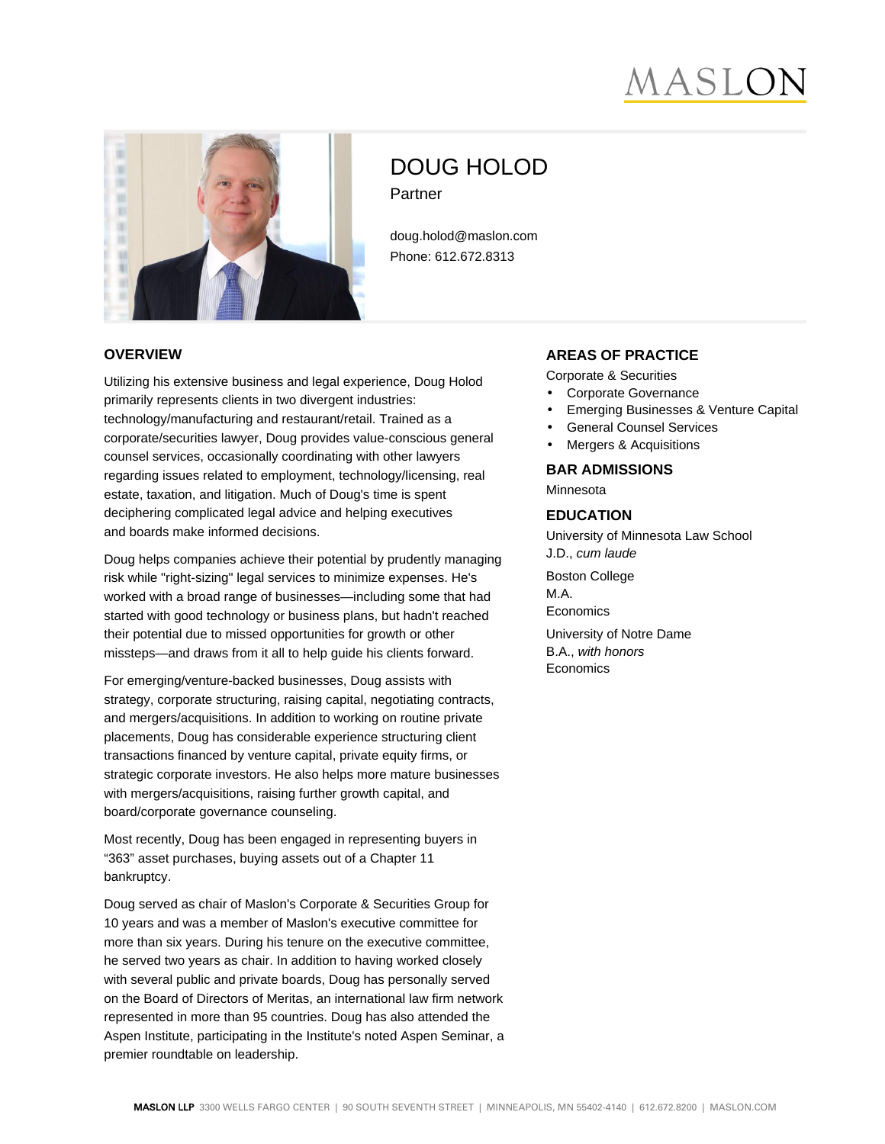# *SERSIA*



# DOUG HOLOD Partner

doug.holod@maslon.com Phone: 612.672.8313

#### **OVERVIEW**

Utilizing his extensive business and legal experience, Doug Holod primarily represents clients in two divergent industries: technology/manufacturing and restaurant/retail. Trained as a corporate/securities lawyer, Doug provides value-conscious general counsel services, occasionally coordinating with other lawyers regarding issues related to employment, technology/licensing, real estate, taxation, and litigation. Much of Doug's time is spent deciphering complicated legal advice and helping executives and boards make informed decisions.

Doug helps companies achieve their potential by prudently managing risk while "right-sizing" legal services to minimize expenses. He's worked with a broad range of businesses—including some that had started with good technology or business plans, but hadn't reached their potential due to missed opportunities for growth or other missteps—and draws from it all to help guide his clients forward.

For emerging/venture-backed businesses, Doug assists with strategy, corporate structuring, raising capital, negotiating contracts, and mergers/acquisitions. In addition to working on routine private placements, Doug has considerable experience structuring client transactions financed by venture capital, private equity firms, or strategic corporate investors. He also helps more mature businesses with mergers/acquisitions, raising further growth capital, and board/corporate governance counseling.

Most recently, Doug has been engaged in representing buyers in "363" asset purchases, buying assets out of a Chapter 11 bankruptcy.

Doug served as chair of Maslon's Corporate & Securities Group for 10 years and was a member of Maslon's executive committee for more than six years. During his tenure on the executive committee, he served two years as chair. In addition to having worked closely with several public and private boards, Doug has personally served on the Board of Directors of Meritas, an international law firm network represented in more than 95 countries. Doug has also attended the Aspen Institute, participating in the Institute's noted Aspen Seminar, a premier roundtable on leadership.

# **AREAS OF PRACTICE**

Corporate & Securities

- Corporate Governance
- Emerging Businesses & Venture Capital
- General Counsel Services
- Mergers & Acquisitions

#### **BAR ADMISSIONS**

Minnesota

#### **EDUCATION**

University of Minnesota Law School J.D., cum laude Boston College M.A. **Economics** University of Notre Dame B.A., with honors **Economics**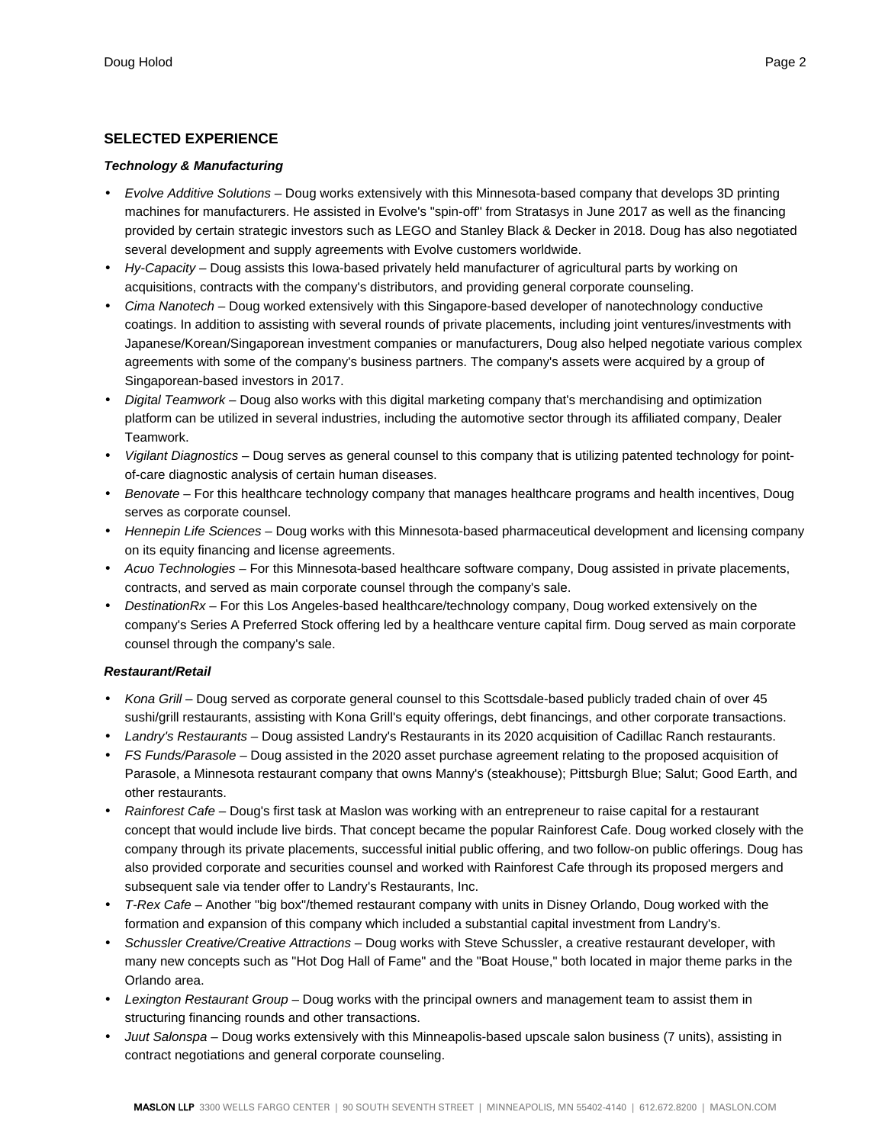#### **SELECTED EXPERIENCE**

#### **Technology & Manufacturing**

- Evolve Additive Solutions Doug works extensively with this Minnesota-based company that develops 3D printing machines for manufacturers. He assisted in Evolve's "spin-off" from Stratasys in June 2017 as well as the financing provided by certain strategic investors such as LEGO and Stanley Black & Decker in 2018. Doug has also negotiated several development and supply agreements with Evolve customers worldwide.
- Hy-Capacity Doug assists this lowa-based privately held manufacturer of agricultural parts by working on acquisitions, contracts with the company's distributors, and providing general corporate counseling.
- Cima Nanotech Doug worked extensively with this Singapore-based developer of nanotechnology conductive coatings. In addition to assisting with several rounds of private placements, including joint ventures/investments with Japanese/Korean/Singaporean investment companies or manufacturers, Doug also helped negotiate various complex agreements with some of the company's business partners. The company's assets were acquired by a group of Singaporean-based investors in 2017.
- Digital Teamwork Doug also works with this digital marketing company that's merchandising and optimization platform can be utilized in several industries, including the automotive sector through its affiliated company, Dealer Teamwork.
- Vigilant Diagnostics Doug serves as general counsel to this company that is utilizing patented technology for pointof-care diagnostic analysis of certain human diseases.
- Benovate For this healthcare technology company that manages healthcare programs and health incentives, Doug serves as corporate counsel.
- Hennepin Life Sciences Doug works with this Minnesota-based pharmaceutical development and licensing company on its equity financing and license agreements.
- Acuo Technologies For this Minnesota-based healthcare software company, Doug assisted in private placements, contracts, and served as main corporate counsel through the company's sale.
- DestinationRx For this Los Angeles-based healthcare/technology company, Doug worked extensively on the company's Series A Preferred Stock offering led by a healthcare venture capital firm. Doug served as main corporate counsel through the company's sale.

#### **Restaurant/Retail**

- Kona Grill Doug served as corporate general counsel to this Scottsdale-based publicly traded chain of over 45 sushi/grill restaurants, assisting with Kona Grill's equity offerings, debt financings, and other corporate transactions.
- Landry's Restaurants Doug assisted Landry's Restaurants in its 2020 acquisition of Cadillac Ranch restaurants.
- FS Funds/Parasole Doug assisted in the 2020 asset purchase agreement relating to the proposed acquisition of Parasole, a Minnesota restaurant company that owns Manny's (steakhouse); Pittsburgh Blue; Salut; Good Earth, and other restaurants.
- Rainforest Cafe Doug's first task at Maslon was working with an entrepreneur to raise capital for a restaurant concept that would include live birds. That concept became the popular Rainforest Cafe. Doug worked closely with the company through its private placements, successful initial public offering, and two follow-on public offerings. Doug has also provided corporate and securities counsel and worked with Rainforest Cafe through its proposed mergers and subsequent sale via tender offer to Landry's Restaurants, Inc.
- T-Rex Cafe Another "big box"/themed restaurant company with units in Disney Orlando, Doug worked with the formation and expansion of this company which included a substantial capital investment from Landry's.
- Schussler Creative/Creative Attractions Doug works with Steve Schussler, a creative restaurant developer, with many new concepts such as "Hot Dog Hall of Fame" and the "Boat House," both located in major theme parks in the Orlando area.
- Lexington Restaurant Group Doug works with the principal owners and management team to assist them in structuring financing rounds and other transactions.
- Juut Salonspa Doug works extensively with this Minneapolis-based upscale salon business (7 units), assisting in contract negotiations and general corporate counseling.